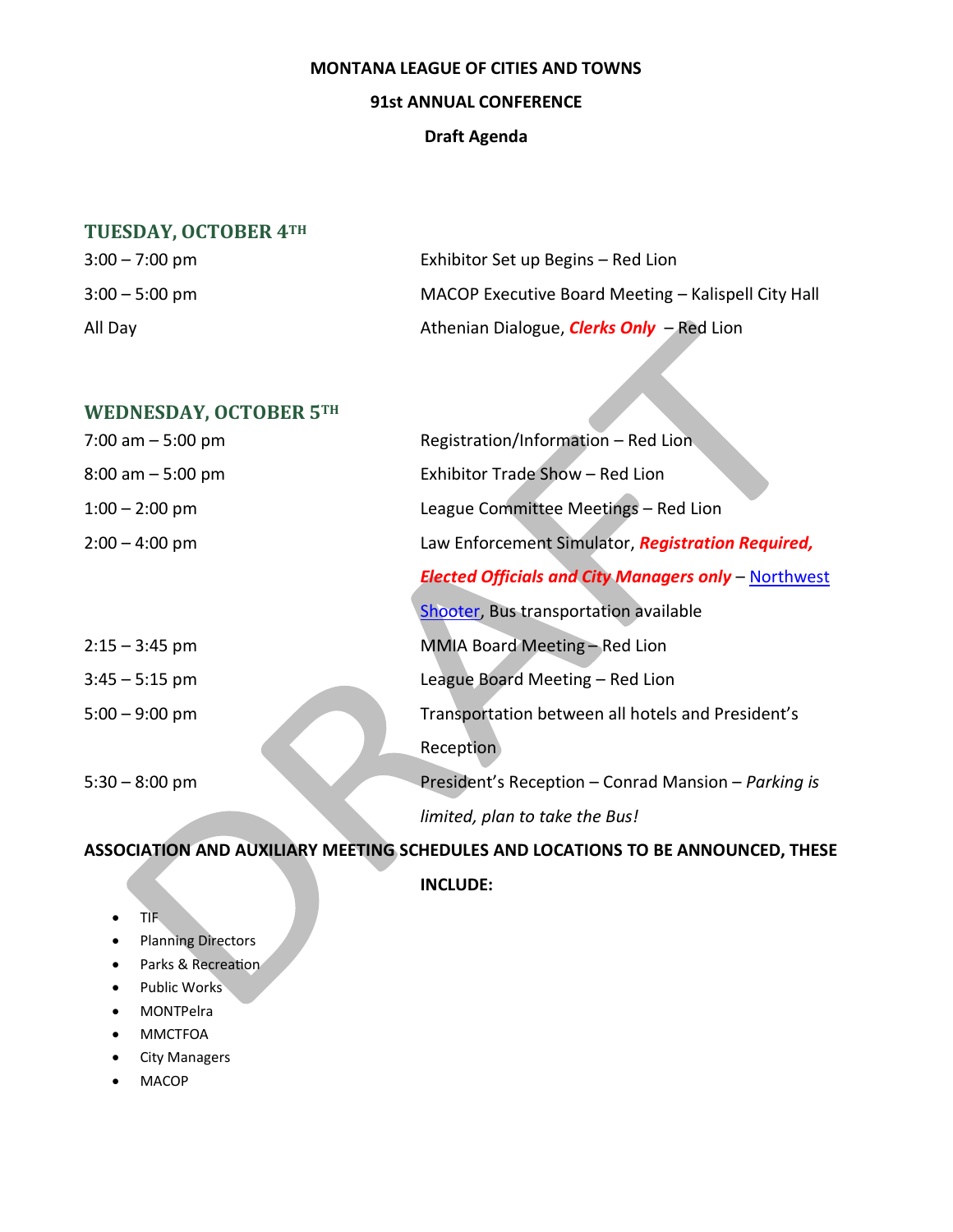#### **MONTANA LEAGUE OF CITIES AND TOWNS**

### **91st ANNUAL CONFERENCE**

### **Draft Agenda**

## **TUESDAY, OCTOBER 4TH**

| $3:00 - 7:00$ pm | Exhibitor Set up Begins – Red Lion                  |
|------------------|-----------------------------------------------------|
| $3:00 - 5:00$ pm | MACOP Executive Board Meeting - Kalispell City Hall |
| All Day          | Athenian Dialogue, <b>Clerks Only</b> - Red Lion    |

## **WEDNESDAY, OCTOBER 5TH**

| 7:00 am $-5:00$ pm   | Registration/Information - Red Lion                         |
|----------------------|-------------------------------------------------------------|
| $8:00$ am $-5:00$ pm | Exhibitor Trade Show - Red Lion                             |
| $1:00 - 2:00$ pm     | League Committee Meetings - Red Lion                        |
| $2:00 - 4:00$ pm     | Law Enforcement Simulator, Registration Required,           |
|                      | <b>Elected Officials and City Managers only - Northwest</b> |
|                      | Shooter, Bus transportation available                       |
| $2:15 - 3:45$ pm     | MMIA Board Meeting - Red Lion                               |
| $3:45 - 5:15$ pm     | League Board Meeting - Red Lion                             |
| $5:00 - 9:00$ pm     | Transportation between all hotels and President's           |
|                      | Reception                                                   |
| $5:30 - 8:00$ pm     | President's Reception - Conrad Mansion - Parking is         |
|                      | limited, plan to take the Bus!                              |
|                      |                                                             |

# **ASSOCIATION AND AUXILIARY MEETING SCHEDULES AND LOCATIONS TO BE ANNOUNCED, THESE**

**INCLUDE:**

- TIF
- Planning Directors
- Parks & Recreation
- Public Works
- MONTPelra
- MMCTFOA
- City Managers
- MACOP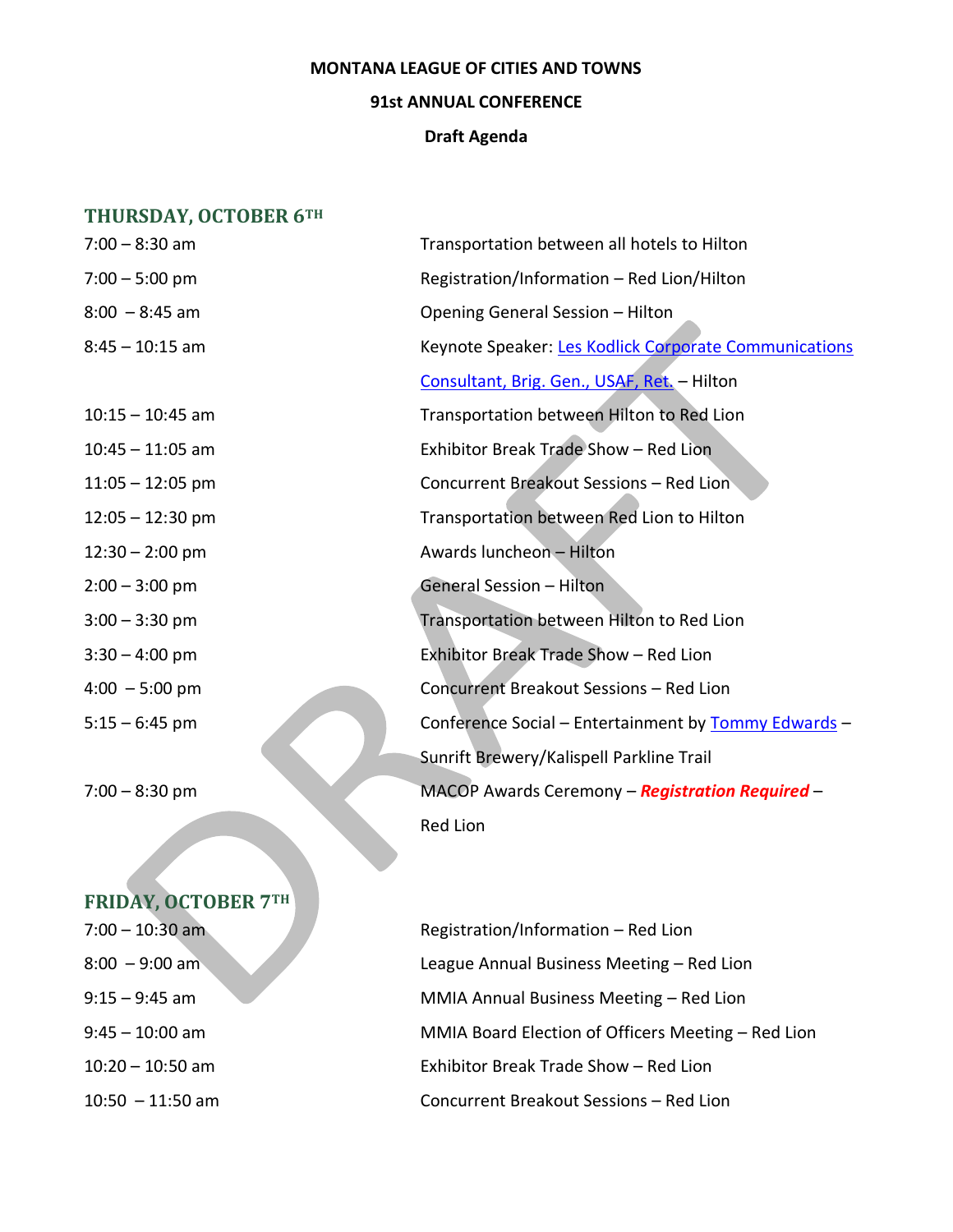#### **MONTANA LEAGUE OF CITIES AND TOWNS**

### **91st ANNUAL CONFERENCE**

#### **Draft Agenda**

# **THURSDAY, OCTOBER 6TH**

| $7:00 - 8:30$ am         | Transportation between all hotels to Hilton           |
|--------------------------|-------------------------------------------------------|
| $7:00 - 5:00$ pm         | Registration/Information - Red Lion/Hilton            |
| $8:00 - 8:45$ am         | Opening General Session - Hilton                      |
| 8:45 – 10:15 am          | Keynote Speaker: Les Kodlick Corporate Communications |
|                          | Consultant, Brig. Gen., USAF, Ret. - Hilton           |
| $10:15 - 10:45$ am       | Transportation between Hilton to Red Lion             |
| $10:45 - 11:05$ am       | Exhibitor Break Trade Show - Red Lion                 |
| $11:05 - 12:05$ pm       | Concurrent Breakout Sessions - Red Lion               |
| $12:05 - 12:30$ pm       | Transportation between Red Lion to Hilton             |
| $12:30 - 2:00$ pm        | Awards luncheon - Hilton                              |
| $2:00 - 3:00$ pm         | General Session - Hilton                              |
| $3:00 - 3:30$ pm         | Transportation between Hilton to Red Lion             |
| $3:30 - 4:00$ pm         | Exhibitor Break Trade Show - Red Lion                 |
| $4:00 - 5:00 \text{ pm}$ | Concurrent Breakout Sessions - Red Lion               |
| $5:15 - 6:45$ pm         | Conference Social - Entertainment by Tommy Edwards -  |
|                          | Sunrift Brewery/Kalispell Parkline Trail              |
| $7:00 - 8:30$ pm         | MACOP Awards Ceremony - Registration Required -       |
|                          | Red Lion                                              |

# **FRIDAY, OCTOBER 7TH**

| 7:00 – 10:30 am  |
|------------------|
| $8:00 - 9:00$ am |
| 9:15 – 9:45 am   |
| 9:45 — 10:00 am  |
| 10:20 – 10:50 am |
| 10:50 – 11:50 am |

7:00 – 10:30 am Registration/Information – Red Lion 8:00 – 9:00 am League Annual Business Meeting – Red Lion 9:15 – 9:45 am MMIA Annual Business Meeting – Red Lion 9:45 – 10:00 am MMIA Board Election of Officers Meeting – Red Lion Exhibitor Break Trade Show – Red Lion Concurrent Breakout Sessions – Red Lion